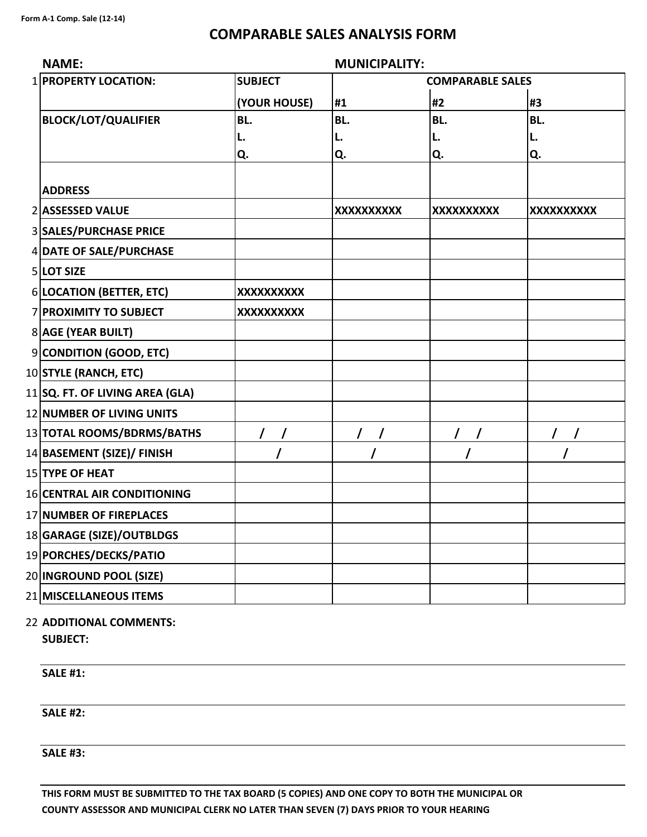## **COMPARABLE SALES ANALYSIS FORM**

| <b>NAME:</b>                       | <b>MUNICIPALITY:</b> |                   |                         |                   |
|------------------------------------|----------------------|-------------------|-------------------------|-------------------|
| 1 PROPERTY LOCATION:               | <b>SUBJECT</b>       |                   | <b>COMPARABLE SALES</b> |                   |
|                                    | (YOUR HOUSE)         | #1                | #2                      | #3                |
| <b>BLOCK/LOT/QUALIFIER</b>         | BL.                  | BL.               | BL.                     | BL.               |
|                                    | L.                   | L.                | L.                      | L.                |
|                                    | Q.                   | Q.                | Q.                      | Q.                |
| <b>ADDRESS</b>                     |                      |                   |                         |                   |
| 2 ASSESSED VALUE                   |                      | <b>XXXXXXXXXX</b> | XXXXXXXXXX              | <b>XXXXXXXXXX</b> |
| <b>3 SALES/PURCHASE PRICE</b>      |                      |                   |                         |                   |
| 4 DATE OF SALE/PURCHASE            |                      |                   |                         |                   |
| 5 LOT SIZE                         |                      |                   |                         |                   |
| 6 LOCATION (BETTER, ETC)           | <b>XXXXXXXXXX</b>    |                   |                         |                   |
| 7 PROXIMITY TO SUBJECT             | XXXXXXXXXX           |                   |                         |                   |
| 8 AGE (YEAR BUILT)                 |                      |                   |                         |                   |
| 9 CONDITION (GOOD, ETC)            |                      |                   |                         |                   |
| 10 STYLE (RANCH, ETC)              |                      |                   |                         |                   |
| $11$ SQ. FT. OF LIVING AREA (GLA)  |                      |                   |                         |                   |
| 12 NUMBER OF LIVING UNITS          |                      |                   |                         |                   |
| 13 TOTAL ROOMS/BDRMS/BATHS         |                      | $\prime$          | $\prime$                |                   |
| 14 BASEMENT (SIZE)/ FINISH         |                      |                   |                         |                   |
| 15 TYPE OF HEAT                    |                      |                   |                         |                   |
| <b>16 CENTRAL AIR CONDITIONING</b> |                      |                   |                         |                   |
| 17 NUMBER OF FIREPLACES            |                      |                   |                         |                   |
| 18 GARAGE (SIZE)/OUTBLDGS          |                      |                   |                         |                   |
| 19 PORCHES/DECKS/PATIO             |                      |                   |                         |                   |
| 20 INGROUND POOL (SIZE)            |                      |                   |                         |                   |
| 21 MISCELLANEOUS ITEMS             |                      |                   |                         |                   |

## 22 **ADDITIONAL COMMENTS: SUBJECT:**

**SALE #1:**

**SALE #2:**

**SALE #3:**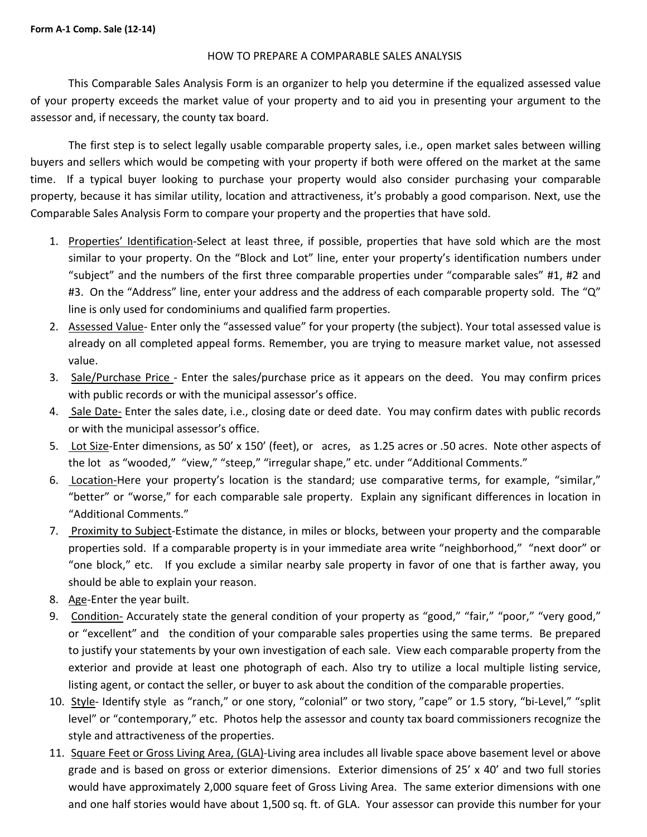## HOW TO PREPARE A COMPARABLE SALES ANALYSIS

This Comparable Sales Analysis Form is an organizer to help you determine if the equalized assessed value of your property exceeds the market value of your property and to aid you in presenting your argument to the assessor and, if necessary, the county tax board.

The first step is to select legally usable comparable property sales, i.e., open market sales between willing buyers and sellers which would be competing with your property if both were offered on the market at the same time. If a typical buyer looking to purchase your property would also consider purchasing your comparable property, because it has similar utility, location and attractiveness, it's probably a good comparison. Next, use the Comparable Sales Analysis Form to compare your property and the properties that have sold.

- 1. Properties' Identification-Select at least three, if possible, properties that have sold which are the most similar to your property. On the "Block and Lot" line, enter your property's identification numbers under "subject" and the numbers of the first three comparable properties under "comparable sales" #1, #2 and #3. On the "Address" line, enter your address and the address of each comparable property sold. The "Q" line is only used for condominiums and qualified farm properties.
- 2. Assessed Value‐ Enter only the "assessed value" for your property (the subject). Your total assessed value is already on all completed appeal forms. Remember, you are trying to measure market value, not assessed value.
- 3. Sale/Purchase Price Enter the sales/purchase price as it appears on the deed. You may confirm prices with public records or with the municipal assessor's office.
- 4. Sale Date‐ Enter the sales date, i.e., closing date or deed date. You may confirm dates with public records or with the municipal assessor's office.
- 5. Lot Size-Enter dimensions, as 50' x 150' (feet), or acres, as 1.25 acres or .50 acres. Note other aspects of the lot as "wooded," "view," "steep," "irregular shape," etc. under "Additional Comments."
- 6. Location-Here your property's location is the standard; use comparative terms, for example, "similar," "better" or "worse," for each comparable sale property. Explain any significant differences in location in "Additional Comments."
- 7. Proximity to Subject-Estimate the distance, in miles or blocks, between your property and the comparable properties sold. If a comparable property is in your immediate area write "neighborhood," "next door" or "one block," etc. If you exclude a similar nearby sale property in favor of one that is farther away, you should be able to explain your reason.
- 8. Age‐Enter the year built.
- 9. Condition- Accurately state the general condition of your property as "good," "fair," "poor," "very good," or "excellent" and the condition of your comparable sales properties using the same terms. Be prepared to justify your statements by your own investigation of each sale. View each comparable property from the exterior and provide at least one photograph of each. Also try to utilize a local multiple listing service, listing agent, or contact the seller, or buyer to ask about the condition of the comparable properties.
- 10. Style- Identify style as "ranch," or one story, "colonial" or two story, "cape" or 1.5 story, "bi-Level," "split level" or "contemporary," etc. Photos help the assessor and county tax board commissioners recognize the style and attractiveness of the properties.
- 11. Square Feet or Gross Living Area, (GLA)-Living area includes all livable space above basement level or above grade and is based on gross or exterior dimensions. Exterior dimensions of 25' x 40' and two full stories would have approximately 2,000 square feet of Gross Living Area. The same exterior dimensions with one and one half stories would have about 1,500 sq. ft. of GLA. Your assessor can provide this number for your